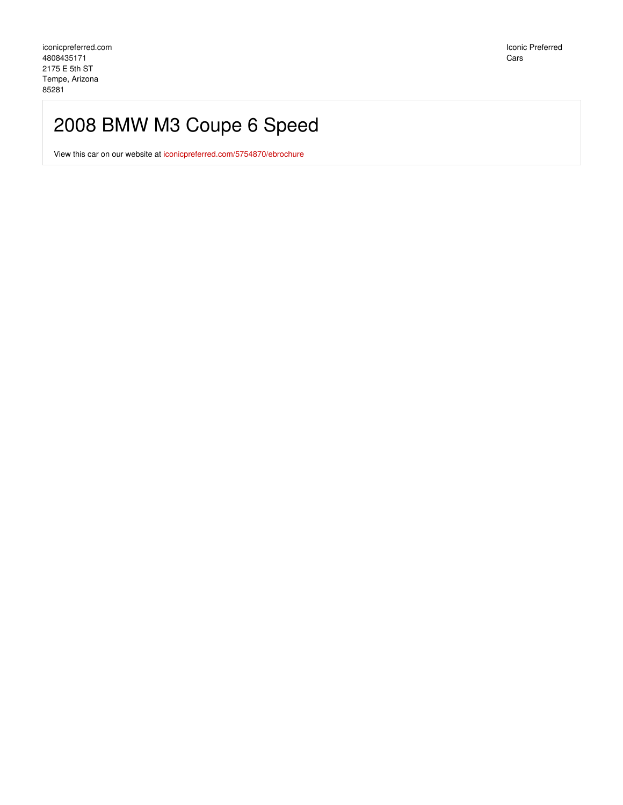Iconic Preferred Cars

## 2008 BMW M3 Coupe 6 Speed

View this car on our website at [iconicpreferred.com/5754870/ebrochure](https://iconicpreferred.com/vehicle/5754870/2008-bmw-m3-coupe-6-speed-tempe-arizona-85281/5754870/ebrochure)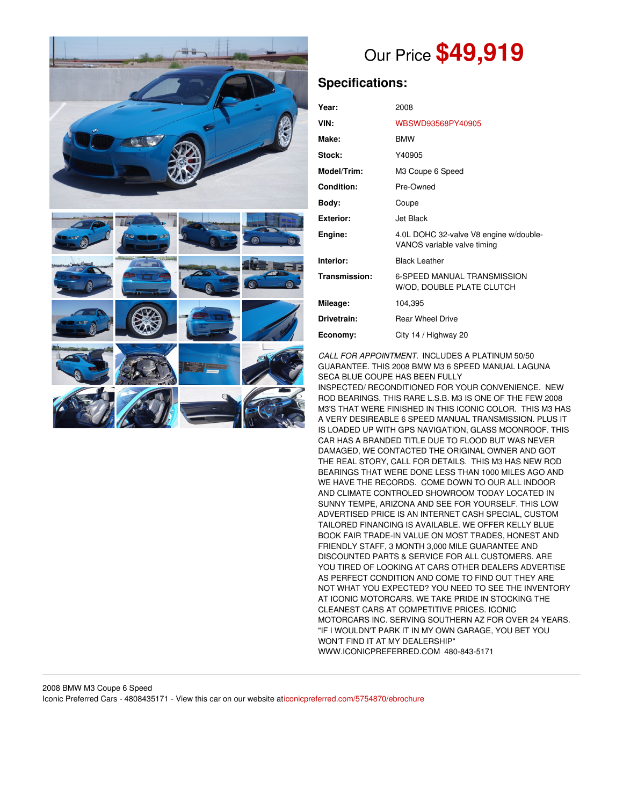

# Our Price **\$49,919**

## **Specifications:**

| Year:             | 2008                                                                  |
|-------------------|-----------------------------------------------------------------------|
| VIN:              | WBSWD93568PY40905                                                     |
| Make:             | <b>BMW</b>                                                            |
| Stock:            | Y40905                                                                |
| Model/Trim:       | M3 Coupe 6 Speed                                                      |
| <b>Condition:</b> | Pre-Owned                                                             |
| Body:             | Coupe                                                                 |
| <b>Exterior:</b>  | Jet Black                                                             |
| Engine:           | 4.0L DOHC 32-valve V8 engine w/double-<br>VANOS variable valve timing |
| Interior:         | <b>Black Leather</b>                                                  |
| Transmission:     | <b>6-SPEED MANUAL TRANSMISSION</b><br>W/OD, DOUBLE PLATE CLUTCH       |
| Mileage:          | 104,395                                                               |
| Drivetrain:       | <b>Rear Wheel Drive</b>                                               |
| Economy:          | City 14 / Highway 20                                                  |

*CALL FOR APPOINTMENT.* INCLUDES A PLATINUM 50/50 GUARANTEE. THIS 2008 BMW M3 6 SPEED MANUAL LAGUNA SECA BLUE COUPE HAS BEEN FULLY

INSPECTED/ RECONDITIONED FOR YOUR CONVENIENCE. NEW ROD BEARINGS. THIS RARE L.S.B. M3 IS ONE OF THE FEW 2008 M3'S THAT WERE FINISHED IN THIS ICONIC COLOR. THIS M3 HAS A VERY DESIREABLE 6 SPEED MANUAL TRANSMISSION. PLUS IT IS LOADED UP WITH GPS NAVIGATION, GLASS MOONROOF. THIS CAR HAS A BRANDED TITLE DUE TO FLOOD BUT WAS NEVER DAMAGED, WE CONTACTED THE ORIGINAL OWNER AND GOT THE REAL STORY, CALL FOR DETAILS. THIS M3 HAS NEW ROD BEARINGS THAT WERE DONE LESS THAN 1000 MILES AGO AND WE HAVE THE RECORDS. COME DOWN TO OUR ALL INDOOR AND CLIMATE CONTROLED SHOWROOM TODAY LOCATED IN SUNNY TEMPE, ARIZONA AND SEE FOR YOURSELF. THIS LOW ADVERTISED PRICE IS AN INTERNET CASH SPECIAL, CUSTOM TAILORED FINANCING IS AVAILABLE. WE OFFER KELLY BLUE BOOK FAIR TRADE-IN VALUE ON MOST TRADES, HONEST AND FRIENDLY STAFF, 3 MONTH 3,000 MILE GUARANTEE AND DISCOUNTED PARTS & SERVICE FOR ALL CUSTOMERS. ARE YOU TIRED OF LOOKING AT CARS OTHER DEALERS ADVERTISE AS PERFECT CONDITION AND COME TO FIND OUT THEY ARE NOT WHAT YOU EXPECTED? YOU NEED TO SEE THE INVENTORY AT ICONIC MOTORCARS. WE TAKE PRIDE IN STOCKING THE CLEANEST CARS AT COMPETITIVE PRICES. ICONIC MOTORCARS INC. SERVING SOUTHERN AZ FOR OVER 24 YEARS. "IF I WOULDN'T PARK IT IN MY OWN GARAGE, YOU BET YOU WON'T FIND IT AT MY DEALERSHIP" WWW.ICONICPREFERRED.COM 480-843-5171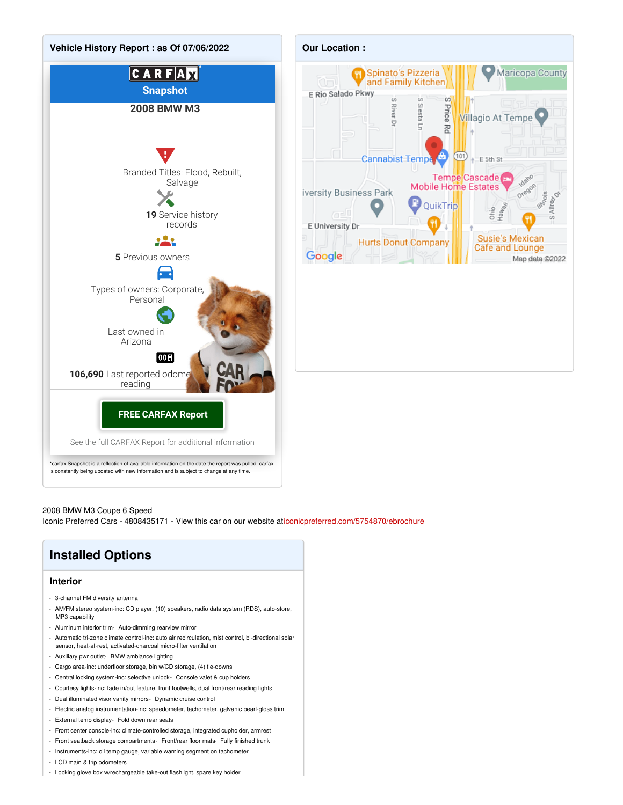

#### 2008 BMW M3 Coupe 6 Speed

Iconic Preferred Cars - 4808435171 - View this car on our website a[ticonicpreferred.com/5754870/ebrochure](https://iconicpreferred.com/vehicle/5754870/2008-bmw-m3-coupe-6-speed-tempe-arizona-85281/5754870/ebrochure)

### **Installed Options**

#### **Interior**

- 3-channel FM diversity antenna
- AM/FM stereo system-inc: CD player, (10) speakers, radio data system (RDS), auto-store, MP3 capability
- Aluminum interior trim- Auto-dimming rearview mirror
- Automatic tri-zone climate control-inc: auto air recirculation, mist control, bi-directional solar sensor, heat-at-rest, activated-charcoal micro-filter ventilation
- Auxiliary pwr outlet- BMW ambiance lighting
- Cargo area-inc: underfloor storage, bin w/CD storage, (4) tie-downs
- Central locking system-inc: selective unlock- Console valet & cup holders
- Courtesy lights-inc: fade in/out feature, front footwells, dual front/rear reading lights
- Dual illuminated visor vanity mirrors- Dynamic cruise control
- Electric analog instrumentation-inc: speedometer, tachometer, galvanic pearl-gloss trim
- External temp display- Fold down rear seats
- Front center console-inc: climate-controlled storage, integrated cupholder, armrest
- Front seatback storage compartments- Front/rear floor mats- Fully finished trunk
- Instruments-inc: oil temp gauge, variable warning segment on tachometer
- LCD main & trip odometers
- Locking glove box w/rechargeable take-out flashlight, spare key holder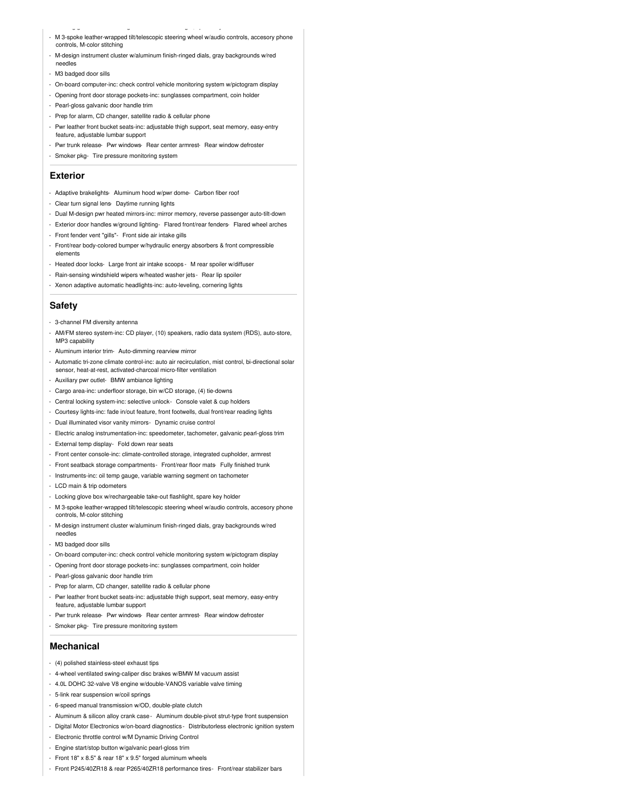- M 3-spoke leather-wrapped tilt/telescopic steering wheel w/audio controls, accesory phone
- controls, M-color stitching

- Locking glove box w/rechargeable take-out flashlight, spare key holder

- M-design instrument cluster w/aluminum finish-ringed dials, gray backgrounds w/red needles
- M3 badged door sills
- On-board computer-inc: check control vehicle monitoring system w/pictogram display
- Opening front door storage pockets-inc: sunglasses compartment, coin holder
- Pearl-gloss galvanic door handle trim
- Prep for alarm, CD changer, satellite radio & cellular phone
- Pwr leather front bucket seats-inc: adjustable thigh support, seat memory, easy-entry
- feature, adjustable lumbar support - Pwr trunk release- Pwr windows- Rear center armrest- Rear window defroster
- 
- Smoker pkg- Tire pressure monitoring system

#### **Exterior**

- Adaptive brakelights- Aluminum hood w/pwr dome- Carbon fiber roof
- Clear turn signal lens- Daytime running lights
- Dual M-design pwr heated mirrors-inc: mirror memory, reverse passenger auto-tilt-down
- Exterior door handles w/ground lighting- Flared front/rear fenders- Flared wheel arches
- Front fender vent "gills"- Front side air intake gills
- Front/rear body-colored bumper w/hydraulic energy absorbers & front compressible elements
- Heated door locks- Large front air intake scoops M rear spoiler w/diffuser
- Rain-sensing windshield wipers w/heated washer jets- Rear lip spoiler
- Xenon adaptive automatic headlights-inc: auto-leveling, cornering lights

#### **Safety**

- 3-channel FM diversity antenna
- AM/FM stereo system-inc: CD player, (10) speakers, radio data system (RDS), auto-store, MP3 capability
- Aluminum interior trim- Auto-dimming rearview mirror
- Automatic tri-zone climate control-inc: auto air recirculation, mist control, bi-directional solar sensor, heat-at-rest, activated-charcoal micro-filter ventilation
- Auxiliary pwr outlet- BMW ambiance lighting
- Cargo area-inc: underfloor storage, bin w/CD storage, (4) tie-downs
- Central locking system-inc: selective unlock- Console valet & cup holders
- Courtesy lights-inc: fade in/out feature, front footwells, dual front/rear reading lights
- Dual illuminated visor vanity mirrors- Dynamic cruise control
- Electric analog instrumentation-inc: speedometer, tachometer, galvanic pearl-gloss trim
- External temp display- Fold down rear seats
- Front center console-inc: climate-controlled storage, integrated cupholder, armrest
- Front seatback storage compartments- Front/rear floor mats- Fully finished trunk
- Instruments-inc: oil temp gauge, variable warning segment on tachometer
- LCD main & trip odometers
- Locking glove box w/rechargeable take-out flashlight, spare key holder
- M 3-spoke leather-wrapped tilt/telescopic steering wheel w/audio controls, accesory phone controls, M-color stitching
- M-design instrument cluster w/aluminum finish-ringed dials, gray backgrounds w/red needles
- M3 badged door sills
- On-board computer-inc: check control vehicle monitoring system w/pictogram display
- Opening front door storage pockets-inc: sunglasses compartment, coin holder
- Pearl-gloss galvanic door handle trim
- Prep for alarm, CD changer, satellite radio & cellular phone
- Pwr leather front bucket seats-inc: adjustable thigh support, seat memory, easy-entry feature, adjustable lumbar support
- Pwr trunk release- Pwr windows- Rear center armrest- Rear window defroster
- Smoker pkg- Tire pressure monitoring system

#### **Mechanical**

- (4) polished stainless-steel exhaust tips
- 4-wheel ventilated swing-caliper disc brakes w/BMW M vacuum assist
- 4.0L DOHC 32-valve V8 engine w/double-VANOS variable valve timing
- 5-link rear suspension w/coil springs
- 6-speed manual transmission w/OD, double-plate clutch
- Aluminum & silicon alloy crank case- Aluminum double-pivot strut-type front suspension
- Digital Motor Electronics w/on-board diagnostics Distributorless electronic ignition system
- Electronic throttle control w/M Dynamic Driving Control
- Engine start/stop button w/galvanic pearl-gloss trim
- Front 18" x 8.5" & rear 18" x 9.5" forged aluminum wheels
- Front P245/40ZR18 & rear P265/40ZR18 performance tires- Front/rear stabilizer bars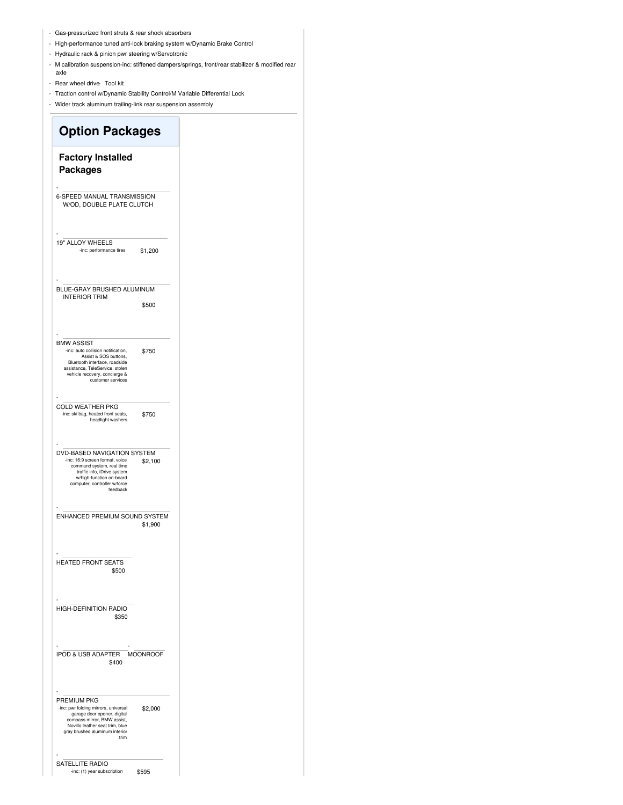- Gas-pressurized front struts & rear shock absorbers
- High-performance tuned anti-lock braking system w/Dynamic Brake Control
- Hydraulic rack & pinion pwr steering w/Servotronic
- M calibration suspension-inc: stiffened dampers/springs, front/rear stabilizer & modified rear axle
- Rear wheel drive Tool kit
- Traction control w/Dynamic Stability Control/M Variable Differential Lock
- Wider track aluminum trailing-link rear suspension assembly

### **Option Packages Factory Installed Packages** - 6-SPEED MANUAL TRANSMISSION W/OD, DOUBLE PLATE CLUTCH \$1,200 - 19" ALLOY WHEELS -inc: performance tires \$500 - BLUE-GRAY BRUSHED ALUMINUM INTERIOR TRIM \$750 - BMW ASSIST -inc: auto collision notification, Assist & SOS buttons, Bluetooth interface, roadside assistance, TeleService, stolen vehicle recovery, concierge & customer services \$750 - COLD WEATHER PKG -inc: ski bag, heated front seats, headlight washers \$2,100 - DVD-BASED NAVIGATION SYSTEM -inc: 16:9 screen format, voice command system, real time traffic info, iDrive system w/high-function on-board computer, controller w/force feedback \$1,900 - ENHANCED PREMIUM SOUND SYSTEM \$500 - HEATED FRONT SEATS \$350 - HIGH-DEFINITION RADIO \$400 - IPOD & USB ADAPTER - MOONROOF \$2,000 - PREMIUM PKG -inc: pwr folding mirrors, universal garage door opener, digital compass mirror, BMW assist, Novillo leather seat trim, blue gray brushed aluminum interior trim - SATELLITE RADIO

\$595

-inc: (1) year subscription